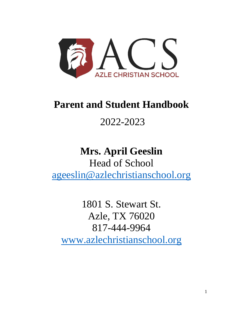

# **Parent and Student Handbook**

# 2022-2023

# **Mrs. April Geeslin** Head of School

[ageeslin@azlechristianschool.org](mailto:Geeslinacs@gmail.com)

1801 S. Stewart St. Azle, TX 76020 817-444-9964 [www.azlechristianschool.org](http://www.azlechristianschool.org/)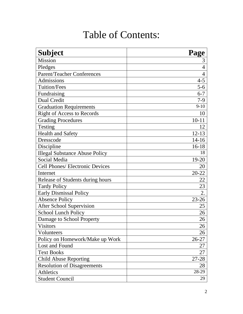# Table of Contents:

| <b>Subject</b>                        | Page           |
|---------------------------------------|----------------|
| <b>Mission</b>                        | 3              |
| Pledges                               | $\overline{4}$ |
| <b>Parent/Teacher Conferences</b>     | $\overline{4}$ |
| <b>Admissions</b>                     | $4 - 5$        |
| <b>Tuition/Fees</b>                   | $5 - 6$        |
| Fundraising                           | $6 - 7$        |
| <b>Dual Credit</b>                    | $7-9$          |
| <b>Graduation Requirements</b>        | $9-10$         |
| <b>Right of Access to Records</b>     | 10             |
| <b>Grading Procedures</b>             | $10 - 11$      |
| Testing                               | 12             |
| Health and Safety                     | $12 - 13$      |
| Dresscode                             | $14 - 16$      |
| Discipline                            | $16-18$        |
| <b>Illegal Substance Abuse Policy</b> | 18             |
| Social Media                          | 19-20          |
| Cell Phones/ Electronic Devices       | 20             |
| Internet                              | $20 - 22$      |
| Release of Students during hours      | 22             |
| <b>Tardy Policy</b>                   | 23             |
| <b>Early Dismissal Policy</b>         | 2.             |
| <b>Absence Policy</b>                 | $23 - 26$      |
| <b>After School Supervision</b>       | 25             |
| <b>School Lunch Policy</b>            | 26             |
| Damage to School Property             | 26             |
| <b>Visitors</b>                       | 26             |
| Volunteers                            | 26             |
| Policy on Homework/Make up Work       | 26-27          |
| Lost and Found                        | 27             |
| <b>Text Books</b>                     | 27             |
| <b>Child Abuse Reporting</b>          | 27-28          |
| <b>Resolution of Disagreements</b>    | 28             |
| Athletics                             | 28-29          |
| <b>Student Council</b>                | 29             |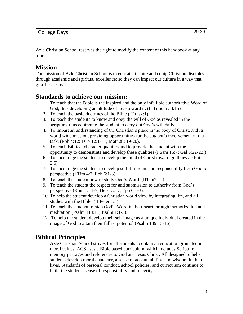| College '<br>Days | ъ. |
|-------------------|----|
|                   |    |

Azle Christian School reserves the right to modify the content of this handbook at any time.

# **Mission**

The mission of Azle Christian School is to educate, inspire and equip Christian disciples through academic and spiritual excellence; so they can impact our culture in a way that glorifies Jesus.

# **Standards to achieve our mission:**

- 1. To teach that the Bible is the inspired and the only infallible authoritative Word of God, thus developing an attitude of love toward it. (II Timothy 3:15)
- 2. To teach the basic doctrines of the Bible ( Titus2:1)
- 3. To teach the students to know and obey the will of God as revealed in the scripture, thus equipping the student to carry out God's will daily.
- 4. To impart an understanding of the Christian's place in the body of Christ, and its world wide mission, providing opportunities for the student's involvement in the task. (Eph 4:12; I Cor12:1-31; Matt 28: 19-20).
- 5. To teach Biblical character qualities and to provide the student with the opportunity to demonstrate and develop these qualities (I Sam 16:7; Gal 5:22-23.)
- 6. To encourage the student to develop the mind of Christ toward godliness. (Phil 2:5)
- 7. To encourage the student to develop self-discipline and responsibility from God's perspective (I Tim 4:7, Eph 6:1-3)
- 8. To teach the student how to study God's Word. (IITim2:15).
- 9. To teach the student the respect for and submission to authority from God's perspective (Rom 13:1-7; Heb 13:17; Eph 6:1-3).
- 10. To help the student develop a Christian world view by integrating life, and all studies with the Bible. (II Peter 1:3).
- 11. To teach the student to hide God's Word in their heart through memorization and meditation (Psalm 119:11; Psalm 1:1-3).
- 12. To help the student develop their self image as a unique individual created in the image of God to attain their fullest potential (Psalm 139:13-16).

# **Biblical Principles**

Azle Christian School strives for all students to obtain an education grounded in moral values. ACS uses a Bible based curriculum, which includes Scripture memory passages and references to God and Jesus Christ. All designed to help students develop moral character, a sense of accountability, and wisdom in their lives. Standards of personal conduct, school policies, and curriculum continue to build the students sense of responsibility and integrity.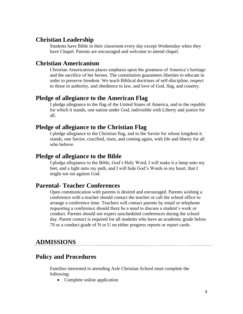### **Christian Leadership**

Students have Bible in their classroom every day except Wednesday when they have Chapel. Parents are encouraged and welcome to attend chapel.

### **Christian Americanism**

Christian Americanism places emphasis upon the greatness of America's heritage and the sacrifice of her heroes. The constitution guarantees liberties to educate in order to preserve freedom. We teach Biblical doctrines of self-discipline, respect to those in authority, and obedience to law, and love of God, flag, and country.

### **Pledge of allegiance to the American Flag**

I pledge allegiance to the flag of the United States of America, and to the republic for which it stands, one nation under God, indivisible with Liberty and justice for all.

# **Pledge of allegiance to the Christian Flag**

I pledge allegiance to the Christian flag, and to the Savior for whose kingdom it stands, one Savior, crucified, risen, and coming again, with life and liberty for all who believe.

### **Pledge of allegiance to the Bible**

I pledge allegiance to the Bible, God's Holy Word, I will make it a lamp unto my feet, and a light unto my path, and I will hide God's Words in my heart, that I might not sin against God.

# **Parental- Teacher Conferences**

Open communication with parents is desired and encouraged. Parents wishing a conference with a teacher should contact the teacher or call the school office to arrange a conference time. Teachers will contact parents by email or telephone requesting a conference should there be a need to discuss a student's work or conduct. Parents should not expect unscheduled conferences during the school day. Parent contact is required for all students who have an academic grade below 70 or a conduct grade of N or U on either progress reports or report cards.

# **ADMISSIONS**

# **Policy and Procedures**

Families interested in attending Azle Christian School must complete the following:

• Complete online application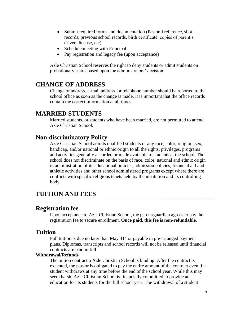- Submit required forms and documentation (Pastoral reference, shot records, previous school records, birth certificate, copies of parent's drivers license, etc)
- Schedule meeting with Principal
- Pay registration and legacy fee (upon acceptance)

Azle Christian School reserves the right to deny students or admit students on probationary status based upon the administrators' decision.

# **CHANGE OF ADDRESS**

Change of address, e-mail address, or telephone number should be reported to the school office as soon as the change is made. It is important that the office records contain the correct information at all times.

# **MARRIED STUDENTS**

Married students, or students who have been married, are not permitted to attend Azle Christian School.

# **Non-discriminatory Policy**

Azle Christian School admits qualified students of any race, color, religion, sex, handicap, and/or national or ethnic origin to all the rights, privileges, programs and activities generally accorded or made available to students at the school. The school does not discriminate on the basis of race, color, national and ethnic origin in administration of its educational policies, admission policies, financial aid and athletic activities and other school administered programs except where there are conflicts with specific religious tenets held by the institution and its controlling body.

# **TUITION AND FEES**

### **Registration fee**

Upon acceptance to Azle Christian School, the parent/guardian agrees to pay the registration fee to secure enrollment. **Once paid, this fee is non-refundable**.

### **Tuition**

Full tuition is due no later than May  $31<sup>st</sup>$  or payable in pre-arranged payment plans. Diplomas, transcripts and school records will not be released until financial contracts are paid in full.

#### **Withdrawal/Refunds**

The tuition contract o Azle Christian School is binding. After the contract is executed, the pay-or is obligated to pay the entire amount of the contract even if a student withdraws at any time before the end of the school year. While this may seem harsh, Azle Christian School is financially committed to provide an education for its students for the full school year. The withdrawal of a student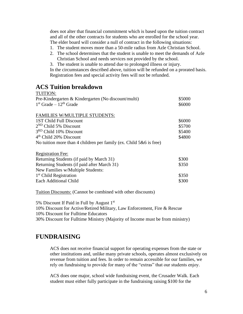does not alter that financial commitment which is based upon the tuition contract and all of the other contracts for students who are enrolled for the school year. The elder board will consider a null of contract in the following situations:

- 1. The student moves more than a 50-mile radius from Azle Christian School.
- 2. The school determines that the student is unable to meet the demands of Azle Christian School and needs services not provided by the school.
- 3. The student is unable to attend due to prolonged illness or injury.

In the circumstances described above, tuition will be refunded on a prorated basis. Registration fees and special activity fees will not be refunded.

#### **ACS Tuition breakdown**  $T$ TUTI $\Omega$

| TUITIUN:                                                             |        |
|----------------------------------------------------------------------|--------|
| Pre-Kindergarten & Kindergarten (No discount/multi)                  | \$5000 |
| $1st$ Grade – $12th$ Grade                                           | \$6000 |
|                                                                      |        |
| <b>FAMILIES W/MULTIPLE STUDENTS:</b>                                 |        |
| 1ST Child Full Discount                                              | \$6000 |
| $2^{ND}$ Child 5% Discount                                           | \$5700 |
| 3 <sup>RD</sup> Child 10% Discount                                   | \$5400 |
| 4 <sup>th</sup> Child 20% Discount                                   | \$4800 |
| No tuition more than 4 children per family (ex. Child $5&6$ is free) |        |
| <b>Registration Fee:</b>                                             |        |
| Returning Students (if paid by March 31)                             | \$300  |
| Returning Students (if paid after March 31)                          | \$350  |
| New Families w/Multiple Students:                                    |        |
| $1st$ Child Registration                                             | \$350  |
| <b>Each Additional Child</b>                                         | \$300  |
|                                                                      |        |

Tuition Discounts: (Cannot be combined with other discounts)

5% Discount If Paid in Full by August 1st 10% Discount for Active/Retired Military, Law Enforcement, Fire & Rescue 10% Discount for Fulltime Educators 30% Discount for Fulltime Ministry (Majority of Income must be from ministry)

# **FUNDRAISING**

ACS does not receive financial support for operating expenses from the state or other institutions and, unlike many private schools, operates almost exclusively on revenue from tuition and fees. In order to remain accessible for our families, we rely on fundraising to provide for many of the "extras" that our students enjoy.

ACS does one major, school wide fundraising event, the Crusader Walk. Each student must either fully participate in the fundraising raising \$100 for the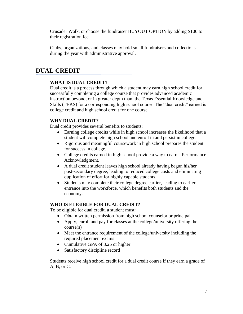Crusader Walk, or choose the fundraiser BUYOUT OPTION by adding \$100 to their registration fee.

Clubs, organizations, and classes may hold small fundraisers and collections during the year with administrative approval.

# **DUAL CREDIT**

#### **WHAT IS DUAL CREDIT?**

Dual credit is a process through which a student may earn high school credit for successfully completing a college course that provides advanced academic instruction beyond, or in greater depth than, the Texas Essential Knowledge and Skills (TEKS) for a corresponding high school course. The "dual credit" earned is college credit and high school credit for one course.

#### **WHY DUAL CREDIT?**

Dual credit provides several benefits to students:

- Earning college credits while in high school increases the likelihood that a student will complete high school and enroll in and persist in college.
- Rigorous and meaningful coursework in high school prepares the student for success in college.
- College credits earned in high school provide a way to earn a Performance Acknowledgment.
- A dual credit student leaves high school already having begun his/her post-secondary degree, leading to reduced college costs and eliminating duplication of effort for highly capable students.
- Students may complete their college degree earlier, leading to earlier entrance into the workforce, which benefits both students and the economy.

#### **WHO IS ELIGIBLE FOR DUAL CREDIT?**

To be eligible for dual credit, a student must:

- Obtain written permission from high school counselor or principal
- Apply, enroll and pay for classes at the college/university offering the course(s)
- Meet the entrance requirement of the college/university including the required placement exams
- Cumulative GPA of 3.25 or higher
- Satisfactory discipline record

Students receive high school credit for a dual credit course if they earn a grade of A, B, or C.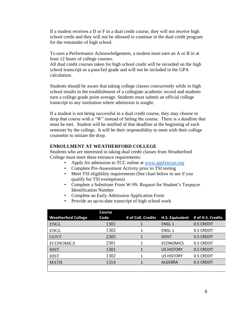If a student receives a D or F in a dual credit course, they will not receive high school credit and they will not be allowed to continue in the dual credit program for the remainder of high school.

To earn a Performance Acknowledgement, a student must earn an A or B in at least 12 hours of college courses.

All dual credit courses taken for high school credit will be recorded on the high school transcript as a pass/fail grade and will not be included in the GPA calculation.

Students should be aware that taking college classes concurrently while in high school results in the establishment of a collegiate academic record and students earn a college grade point average. Students must submit an official college transcript to any institution where admission is sought.

If a student is not being successful in a dual credit course, they may choose to drop that course with a "W" instead of failing the course. There is a deadline that must be met. Student will be notified of that deadline at the beginning of each semester by the college. It will be their responsibility to meet with their college counselor to initiate the drop.

#### **ENROLLMENT AT WEATHERFORD COLLEGE**

Students who are interested in taking dual credit classes from Weatherford College must meet these entrance requirements:

- Apply for admission to TCC online at [www.applytexas.org](http://www.applytexas.org/)
- Complete Pre-Assessment Activity prior to TSI testing
- Meet TSI eligibility requirements (See chart below to see if you qualify for TSI exemptions)
- Complete a Substitute From W-9S: Request for Student's Taxpayer Identification Number
- Complete an Early Admission Application Form
- Provide an up-to-date transcript of high school work

|                            | Course |                    |                   |                                   |
|----------------------------|--------|--------------------|-------------------|-----------------------------------|
| <b>Weatherford College</b> | Code   | # of Coll. Credits |                   | H.S. Equivalent # of H.S. Credits |
| <b>ENGL</b>                | 1301   | 1                  | <b>ENGL1</b>      | 0.5 CREDIT                        |
| <b>ENGL</b>                | 1302   |                    | ENGL <sub>1</sub> | 0.5 CREDIT                        |
| <b>GOVT</b>                | 2305   |                    | <b>GOVT</b>       | 0.5 CREDIT                        |
| <b>ECONOMICS</b>           | 2301   |                    | <b>ECONOMICS</b>  | 0.5 CREDIT                        |
| <b>HIST</b>                | 1301   |                    | <b>US HISTORY</b> | 0.5 CREDIT                        |
| <b>HIST</b>                | 1302   |                    | <b>US HISTORY</b> | 0.5 CREDIT                        |
| <b>MATH</b>                | 1314   |                    | <b>ALGEBRA</b>    | 0.5 CREDIT                        |
|                            |        |                    |                   |                                   |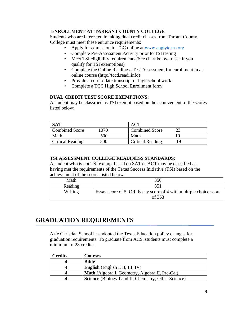#### **ENROLLMENT AT TARRANT COUNTY COLLEGE**

Students who are interested in taking dual credit classes from Tarrant County College must meet these entrance requirements:

- Apply for admission to TCC online at [www.applytexas.org](http://www.applytexas.org/)
- Complete Pre-Assessment Activity prior to TSI testing
- Meet TSI eligibility requirements (See chart below to see if you qualify for TSI exemptions)
- Complete the Online Readiness Test Assessment for enrollment in an online course (http://tccd.readi.info)
- Provide an up-to-date transcript of high school work
- Complete a TCC High School Enrollment form

#### **DUAL CREDIT TEST SCORE EXEMPTIONS:**

A student may be classified as TSI exempt based on the achievement of the scores listed below:

| SAT                     |        |                         |  |
|-------------------------|--------|-------------------------|--|
| <b>Combined Score</b>   | ' 070- | <b>Combined Score</b>   |  |
| Math                    | 500    | Math                    |  |
| <b>Critical Reading</b> | 500    | <b>Critical Reading</b> |  |

#### **TSI ASSESSMENT COLLEGE READINESS STANDARDS:**

A student who is not TSI exempt based on SAT or ACT may be classified as having met the requirements of the Texas Success Initiative (TSI) based on the achievement of the scores listed below:

| Math    | 350                                                                       |
|---------|---------------------------------------------------------------------------|
| Reading | 351                                                                       |
| Writing | Essay score of 5 OR Essay score of 4 with multiple choice score<br>of 363 |

# **GRADUATION REQUIREMENTS**

Azle Christian School has adopted the Texas Education policy changes for graduation requirements. To graduate from ACS, students must complete a minimum of 28 credits.

| <b>Credits</b> | <b>Courses</b>                                              |
|----------------|-------------------------------------------------------------|
|                | <b>Bible</b>                                                |
|                | <b>English</b> (English I, II, III, IV)                     |
|                | Math (Algebra I, Geometry, Algebra II, Pre-Cal)             |
|                | <b>Science</b> (Biology I and II, Chemistry, Other Science) |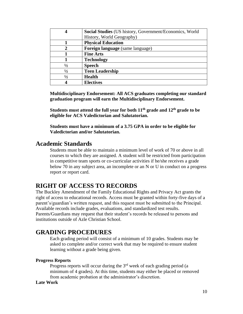|               | Social Studies (US history, Government/Economics, World |
|---------------|---------------------------------------------------------|
|               | History, World Geography)                               |
|               | <b>Physical Education</b>                               |
|               | Foreign language (same language)                        |
|               | <b>Fine Arts</b>                                        |
|               | <b>Technology</b>                                       |
| $\frac{1}{2}$ | <b>Speech</b>                                           |
| $\frac{1}{2}$ | <b>Teen Leadership</b>                                  |
| $\frac{1}{2}$ | <b>Health</b>                                           |
|               | <b>Electives</b>                                        |

**Multidisciplinary Endorsement: All ACS graduates completing our standard graduation program will earn the Multidisciplinary Endorsement.** 

**Students must attend the full year for both 11th grade and 12th grade to be eligible for ACS Valedictorian and Salutatorian.**

**Students must have a minimum of a 3.75 GPA in order to be eligible for Valedictorian and/or Salutatorian.** 

# **Academic Standards**

Students must be able to maintain a minimum level of work of 70 or above in all courses to which they are assigned. A student will be restricted from participation in competitive team sports or co-curricular activities if he/she receives a grade below 70 in any subject area, an incomplete or an N or U in conduct on a progress report or report card.

# **RIGHT OF ACCESS TO RECORDS**

The Buckley Amendment of the Family Educational Rights and Privacy Act grants the right of access to educational records. Access must be granted within forty-five days of a parent's/guardian's written request, and this request must be submitted to the Principal. Available records include grades, evaluations, and standardized test results. Parents/Guardians may request that their student's records be released to persons and institutions outside of Azle Christian School.

# **GRADING PROCEDURES**

Each grading period will consist of a minimum of 10 grades. Students may be asked to complete and/or correct work that may be required to ensure student learning without a grade being given.

#### **Progress Reports**

Progress reports will occur during the  $3<sup>rd</sup>$  week of each grading period (a minimum of 4 grades). At this time, students may either be placed or removed from academic probation at the administrator's discretion.

#### **Late Work**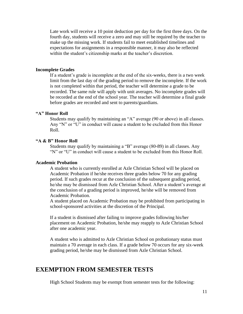Late work will receive a 10 point deduction per day for the first three days. On the fourth day, students will receive a zero and may still be required by the teacher to make up the missing work. If students fail to meet established timelines and expectations for assignments in a responsible manner, it may also be reflected within the student's citizenship marks at the teacher's discretion.

#### **Incomplete Grades**

If a student's grade is incomplete at the end of the six-weeks, there is a two week limit from the last day of the grading period to remove the incomplete. If the work is not completed within that period, the teacher will determine a grade to be recorded. The same rule will apply with unit averages. No incomplete grades will be recorded at the end of the school year. The teacher will determine a final grade before grades are recorded and sent to parents/guardians.

#### **"A" Honor Roll**

Students may qualify by maintaining an "A" average (90 or above) in all classes. Any "N" or "U" in conduct will cause a student to be excluded from this Honor Roll.

#### **"A & B" Honor Roll**

Students may qualify by maintaining a "B" average (80-89) in all classes. Any "N" or "U" in conduct will cause a student to be excluded from this Honor Roll.

#### **Academic Probation**

A student who is currently enrolled at Azle Christian School will be placed on Academic Probation if he/she receives three grades below 70 for any grading period. If such grades recur at the conclusion of the subsequent grading period, he/she may be dismissed from Azle Christian School. After a student's average at the conclusion of a grading period is improved, he/she will be removed from Academic Probation.

A student placed on Academic Probation may be prohibited from participating in school-sponsored activities at the discretion of the Principal.

If a student is dismissed after failing to improve grades following his/her placement on Academic Probation, he/she may reapply to Azle Christian School after one academic year.

A student who is admitted to Azle Christian School on probationary status must maintain a 70 average in each class. If a grade below 70 occurs for any six-week grading period, he/she may be dismissed from Azle Christian School.

#### **EXEMPTION FROM SEMESTER TESTS**

High School Students may be exempt from semester tests for the following: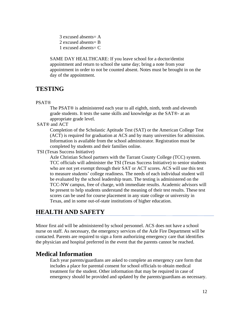3 excused absents= A 2 excused absents= B 1 excused absents= C

SAME DAY HEALTHCARE: If you leave school for a doctor/dentist appointment and return to school the same day; bring a note from your appointment in order to not be counted absent. Notes must be brought in on the day of the appointment.

# **TESTING**

#### PSAT®

The PSAT® is administered each year to all eighth, ninth, tenth and eleventh grade students. It tests the same skills and knowledge as the SAT®- at an appropriate grade level.

SAT® and ACT

Completion of the Scholastic Aptitude Test (SAT) or the American College Test (ACT) is required for graduation at ACS and by many universities for admission. Information is available from the school administrator. Registration must be completed by students and their families online.

TSI (Texas Success Initiative)

Azle Christian School partners with the Tarrant County College (TCC) system. TCC officials will administer the TSI (Texas Success Initiative) to senior students who are not yet exempt through their SAT or ACT scores. ACS will use this test to measure students' college readiness. The needs of each individual student will be evaluated by the school leadership team. The testing is administered on the TCC-NW campus, free of charge, with immediate results. Academic advisors will be present to help students understand the meaning of their test results. These test scores can be used for course placement in any state college or university in Texas, and in some out-of-state institutions of higher education.

# **HEALTH AND SAFETY**

Minor first aid will be administered by school personnel. ACS does not have a school nurse on staff. As necessary, the emergency services of the Azle Fire Department will be contacted. Parents are required to sign a form authorizing emergency care that identifies the physician and hospital preferred in the event that the parents cannot be reached.

# **Medical Information**

Each year parents/guardians are asked to complete an emergency care form that includes a place for parental consent for school officials to obtain medical treatment for the student. Other information that may be required in case of emergency should be provided and updated by the parents/guardians as necessary.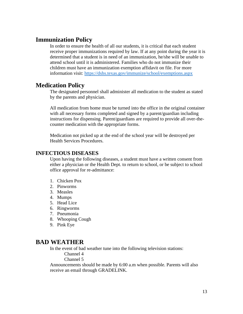# **Immunization Policy**

In order to ensure the health of all our students, it is critical that each student receive proper immunizations required by law. If at any point during the year it is determined that a student is in need of an immunization, he/she will be unable to attend school until it is administered. Families who do not immunize their children must have an immunization exemption affidavit on file. For more information visit:<https://dshs.texas.gov/immunize/school/exemptions.aspx>

### **Medication Policy**

The designated personnel shall administer all medication to the student as stated by the parents and physician.

All medication from home must be turned into the office in the original container with all necessary forms completed and signed by a parent/guardian including instructions for dispensing. Parent/guardians are required to provide all over-thecounter medication with the appropriate forms.

Medication not picked up at the end of the school year will be destroyed per Health Services Procedures.

#### **INFECTIOUS DISEASES**

Upon having the following diseases, a student must have a written consent from either a physician or the Health Dept. to return to school, or be subject to school office approval for re-admittance:

- 1. Chicken Pox
- 2. Pinworms
- 3. Measles
- 4. Mumps
- 5. Head Lice
- 6. Ringworms
- 7. Pneumonia
- 8. Whooping Cough
- 9. Pink Eye

### **BAD WEATHER**

In the event of bad weather tune into the following television stations:

Channel 4

Channel 5

Announcements should be made by 6:00 a.m when possible. Parents will also receive an email through GRADELINK.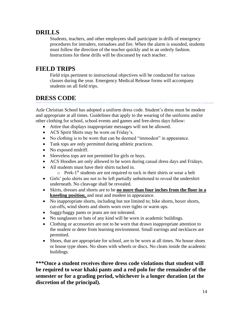# **DRILLS**

Students, teachers, and other employees shall participate in drills of emergency procedures for intruders, tornadoes and fire. When the alarm is sounded, students must follow the direction of the teacher quickly and in an orderly fashion. Instructions for these drills will be discussed by each teacher.

# **FIELD TRIPS**

Field trips pertinent to instructional objectives will be conducted for various classes during the year. Emergency Medical Release forms will accompany students on all field trips.

# **DRESS CODE**

Azle Christian School has adopted a uniform dress code. Student's dress must be modest and appropriate at all times. Guidelines that apply to the wearing of the uniforms and/or other clothing for school, school events and games and free-dress days follow:

- Attire that displays inappropriate messages will not be allowed.
- ACS Spirit Shirts may be worn on Friday's.
- No clothing is to be worn that can be deemed "immodest" in appearance.
- Tank tops are only permitted during athletic practices.
- No exposed midriff.
- Sleeveless tops are not permitted for girls or boys.
- ACS Hoodies are only allowed to be worn during casual dress days and Fridays.
- All students must have their shirts tucked in.
	- o Prek-1<sup>st</sup> students are not required to tuck in their shirts or wear a belt
- Girls' polo shirts are not to be left partially unbuttoned to reveal the undershirt underneath. No cleavage shall be revealed.
- Skirts, dresses and shorts are to be **no more than four inches from the floor in a kneeling position,** and neat and modest in appearance.
- No inappropriate shorts, including but not limited to; bike shorts, boxer shorts, cut-offs, wind shorts and shorts worn over tights or warm ups.
- Saggy/baggy pants or jeans are not tolerated.
- No sunglasses or hats of any kind will be worn in academic buildings.
- Clothing or accessories are not to be worn that drawn inappropriate attention to the student or deter from learning environment. Small earrings and necklaces are permitted.
- Shoes, that are appropriate for school, are to be worn at all times. No house shoes or house type shoes. No shoes with wheels or discs. No cleats inside the academic buildings.

**\*\*\*Once a student receives three dress code violations that student will be required to wear khaki pants and a red polo for the remainder of the semester or for a grading period, whichever is a longer duration (at the discretion of the principal).**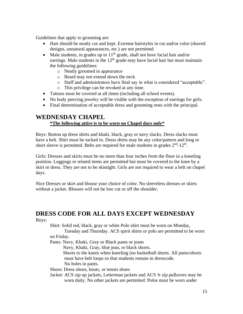Guidelines that apply to grooming are:

- Hair should be neatly cut and kept. Extreme hairstyles in cut and/or color (shaved designs, unnatural appearances, etc.) are not permitted.
- Male students, in grades up to  $11<sup>th</sup>$  grade, shall not have facial hair and/or earrings. Male students in the  $12<sup>th</sup>$  grade may have facial hair but must maintain the following guidelines:
	- o Neatly groomed in appearance
	- o Beard may not extend down the neck
	- o Staff and administrators have final say in what is considered "acceptable".
	- o This privilege can be revoked at any time.
- Tattoos must be covered at all times (including all school events).
- No body piercing jewelry will be visible with the exception of earrings for girls.
- Final determination of acceptable dress and grooming rests with the principal.

# **WEDNESDAY CHAPEL**

#### **\*The following attire is to be worn on Chapel days only\***

Boys: Button up dress shirts and khaki, black, gray or navy slacks. Dress slacks must have a belt. Shirt must be tucked in. Dress shirts may be any color/pattern and long or short sleeve is permitted. Belts are required for male students in grades  $2<sup>nd</sup>$ -12<sup>th</sup>.

Girls: Dresses and skirts must be no more than four inches from the floor in a kneeling position. Leggings or related items are permitted but must be covered to the knee by a skirt or dress. They are not to be skintight. Girls are not required to wear a belt on chapel days.

Nice Dresses or skirt and blouse your choice of color. No sleeveless dresses or skirts without a jacket. Blouses will not be low cut or off the shoulder.

# **DRESS CODE FOR ALL DAYS EXCEPT WEDNESDAY**

Boys:

Shirt: Solid red, black, gray or white Polo shirt must be worn on Monday,

Tuesday and Thursday. ACS spirit shirts or polo are permitted to be worn on Friday.

Pants: Navy, Khaki, Gray or Black pants or jeans

Navy, Khaki, Gray, blue jean, or black shorts.

 Shorts to the knees when kneeling (no basketball shorts. All pants/shorts must have belt loops so that students remain in dresscode. No holes in pants.

Shoes: Dress shoes, boots, or tennis shoes

Jacket: ACS zip up jackets, Letterman jackets and ACS ¾ zip pullovers may be worn daily. No other jackets are permitted. Polos must be worn under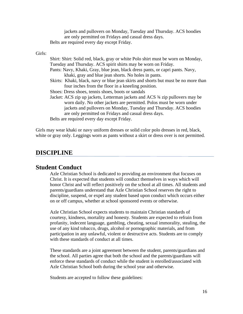jackets and pullovers on Monday, Tuesday and Thursday. ACS hoodies are only permitted on Fridays and casual dress days. Belts are required every day except Friday.

Girls:

| Shirt: Shirt: Solid red, black, gray or white Polo shirt must be worn on Monday,   |
|------------------------------------------------------------------------------------|
| Tuesday and Thursday. ACS spirit shirts may be worn on Friday.                     |
| Pants: Navy, Khaki, Gray, blue jean, black dress pants, or capri pants. Navy,      |
| khaki, gray and blue jean shorts. No holes in pants.                               |
| Skirts: Khaki, black, navy or blue jean skirts and shorts but must be no more than |
| four inches from the floor in a kneeling position.                                 |
| Shoes: Dress shoes, tennis shoes, boots or sandals                                 |
| Jacket: ACS zip up jackets, Letterman jackets and ACS 34 zip pullovers may be      |
| worn daily. No other jackets are permitted. Polos must be worn under               |
| jackets and pullovers on Monday, Tuesday and Thursday. ACS hoodies                 |
| are only permitted on Fridays and casual dress days.                               |
| Belts are required every day except Friday.                                        |

Girls may wear khaki or navy uniform dresses or solid color polo dresses in red, black, white or gray only. Leggings worn as pants without a skirt or dress over is not permitted.

### **DISCIPLINE**

#### **Student Conduct**

Azle Christian School is dedicated to providing an environment that focuses on Christ. It is expected that students will conduct themselves in ways which will honor Christ and will reflect positively on the school at all times. All students and parents/guardians understand that Azle Christian School reserves the right to discipline, suspend, or expel any student based upon conduct which occurs either on or off campus, whether at school sponsored events or otherwise.

Azle Christian School expects students to maintain Christian standards of courtesy, kindness, mortality and honesty. Students are expected to refrain from profanity, indecent language, gambling, cheating, sexual immorality, stealing, the use of any kind tobacco, drugs, alcohol or pornographic materials, and from participation in any unlawful, violent or destructive acts. Students are to comply with these standards of conduct at all times.

These standards are a joint agreement between the student, parents/guardians and the school. All parties agree that both the school and the parents/guardians will enforce these standards of conduct while the student is enrolled/associated with Azle Christian School both during the school year and otherwise.

Students are accepted to follow these guidelines: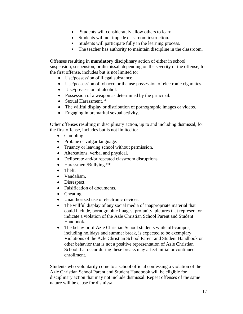- Students will considerately allow others to learn
- Students will not impede classroom instruction.
- Students will participate fully in the learning process.
- The teacher has authority to maintain discipline in the classroom.

Offenses resulting in **mandatory** disciplinary action of either in school suspension, suspension, or dismissal, depending on the severity of the offense, for the first offense, includes but is not limited to:

- Use/possession of illegal substance.
- Use/possession of tobacco or the use possession of electronic cigarettes.
- Use/possession of alcohol.
- Possession of a weapon as determined by the principal.
- Sexual Harassment. \*
- The willful display or distribution of pornographic images or videos.
- Engaging in premarital sexual activity.

Other offenses resulting in disciplinary action, up to and including dismissal, for the first offense, includes but is not limited to:

- Gambling.
- Profane or vulgar language.
- Truancy or leaving school without permission.
- Altercations, verbal and physical.
- Deliberate and/or repeated classroom disruptions.
- Harassment/Bullying.\*\*
- Theft.
- Vandalism.
- Disrespect.
- Falsification of documents.
- Cheating.
- Unauthorized use of electronic devices.
- The willful display of any social media of inappropriate material that could include, pornographic images, profanity, pictures that represent or indicate a violation of the Azle Christian School Parent and Student Handbook.
- The behavior of Azle Christian School students while off-campus, including holidays and summer break, is expected to be exemplary. Violations of the Azle Christian School Parent and Student Handbook or other behavior that is not a positive representation of Azle Christian School that occur during these breaks may affect initial or continued enrollment.

Students who voluntarily come to a school official confessing a violation of the Azle Christian School Parent and Student Handbook will be eligible for disciplinary action that may not include dismissal. Repeat offenses of the same nature will be cause for dismissal.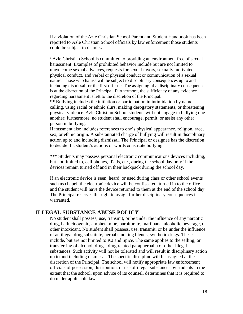If a violation of the Azle Christian School Parent and Student Handbook has been reported to Azle Christian School officials by law enforcement those students could be subject to dismissal.

\*Azle Christian School is committed to providing an environment free of sexual harassment. Examples of prohibited behavior include but are not limited to unwelcome sexual advances, requests for sexual favors, sexually motivated physical conduct, and verbal or physical conduct or communication of a sexual nature. Those who harass will be subject to disciplinary consequences up to and including dismissal for the first offense. The assigning of a disciplinary consequence is at the discretion of the Principal. Furthermore, the sufficiency of any evidence regarding harassment is left to the discretion of the Principal.

**\*\*** Bullying includes the initiation or participation in intimidation by name calling, using racial or ethnic slurs, making derogatory statements, or threatening physical violence. Azle Christian School students will not engage in bullying one another; furthermore, no student shall encourage, permit, or assist any other person in bullying.

Harassment also includes references to one's physical appearance, religion, race, sex, or ethnic origin. A substantiated charge of bullying will result in disciplinary action up to and including dismissal. The Principal or designee has the discretion to decide if a student's actions or words constitute bullying.

**\*\*\*** Students may possess personal electronic communications devices including, but not limited to, cell phones, IPads, etc., during the school day only if the devices remain turned off and in their backpack during the school day.

If an electronic device is seen, heard, or used during class or other school events such as chapel, the electronic device will be confiscated, turned in to the office and the student will have the device returned to them at the end of the school day. The Principal reserves the right to assign further disciplinary consequences if warranted.

#### **ILLEGAL SUBSTANCE ABUSE POLICY**

No student shall possess, use, transmit, or be under the influence of any narcotic drug, hallucinogenic, amphetamine, barbiturate, marijuana, alcoholic beverage, or other intoxicant. No student shall possess, use, transmit, or be under the influence of an illegal drug substitute, herbal smoking blends, synthetic drugs. These include, but are not limited to K2 and Spice. The same applies to the selling, or transferring of alcohol, drugs, drug related paraphernalia or other illegal substances. Such activity will not be tolerated and will result in disciplinary action up to and including dismissal. The specific discipline will be assigned at the discretion of the Principal. The school will notify appropriate law enforcement officials of possession, distribution, or use of illegal substances by students to the extent that the school, upon advice of its counsel, determines that it is required to do under applicable laws.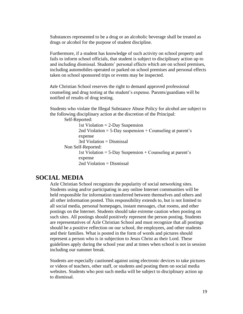Substances represented to be a drug or an alcoholic beverage shall be treated as drugs or alcohol for the purpose of student discipline.

Furthermore, if a student has knowledge of such activity on school property and fails to inform school officials, that student is subject to disciplinary action up to and including dismissal. Students' personal effects which are on school premises, including automobiles operated or parked on school premises and personal effects taken on school sponsored trips or events may be inspected.

Azle Christian School reserves the right to demand approved professional counseling and drug testing at the student's expense. Parents/guardians will be notified of results of drug testing.

Students who violate the Illegal Substance Abuse Policy for alcohol are subject to the following disciplinary action at the discretion of the Principal:

Self-Reported:

1st Violation = 2-Day Suspension 2nd Violation  $= 5$ -Day suspension  $+$  Counseling at parent's expense 3rd Violation = Dismissal

Non Self-Reported:

1st Violation  $= 5$ -Day Suspension  $+$  Counseling at parent's expense 2nd Violation = Dismissal

### **SOCIAL MEDIA**

Azle Christian School recognizes the popularity of social networking sites. Students using and/or participating in any online Internet communities will be held responsible for information transferred between themselves and others and all other information posted. This responsibility extends to, but is not limited to all social media, personal homepages, instant messages, chat rooms, and other postings on the Internet. Students should take extreme caution when posting on such sites. All postings should positively represent the person posting. Students are representatives of Azle Christian School and must recognize that all postings should be a positive reflection on our school, the employees, and other students and their families. What is posted in the form of words and pictures should represent a person who is in subjection to Jesus Christ as their Lord. These guidelines apply during the school year and at times when school is not in session including our summer break.

Students are especially cautioned against using electronic devices to take pictures or videos of teachers, other staff, or students and posting them on social media websites. Students who post such media will be subject to disciplinary action up to dismissal.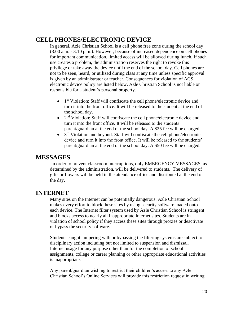# **CELL PHONES/ELECTRONIC DEVICE**

In general, Azle Christian School is a cell phone free zone during the school day (8:00 a.m. - 3:10 p.m.). However, because of increased dependence on cell phones for important communication, limited access will be allowed during lunch. If such use creates a problem, the administration reserves the right to revoke this privilege or take away the device until the end of the school day. Cell phones are not to be seen, heard, or utilized during class at any time unless specific approval is given by an administrator or teacher. Consequences for violation of ACS electronic device policy are listed below. Azle Christian School is not liable or responsible for a student's personal property.

- 1<sup>st</sup> Violation: Staff will confiscate the cell phone/electronic device and turn it into the front office. It will be released to the student at the end of the school day.
- $\bullet$   $2<sup>nd</sup>$  Violation: Staff will confiscate the cell phone/electronic device and turn it into the front office. It will be released to the students' parent/guardian at the end of the school day. A \$25 fee will be charged.
- $\bullet$  3<sup>rd</sup> Violation and beyond: Staff will confiscate the cell phone/electronic device and turn it into the front office. It will be released to the students' parent/guardian at the end of the school day. A \$50 fee will be charged.

### **MESSAGES**

In order to prevent classroom interruptions, only EMERGENCY MESSAGES, as determined by the administration, will be delivered to students. The delivery of gifts or flowers will be held in the attendance office and distributed at the end of the day.

# **INTERNET**

Many sites on the Internet can be potentially dangerous. Azle Christian School makes every effort to block these sites by using security software loaded onto each device. The Internet filter system used by Azle Christian School is stringent and blocks access to nearly all inappropriate Internet sites. Students are in violation of school policy if they access these sites through proxies or deactivate or bypass the security software.

Students caught tampering with or bypassing the filtering systems are subject to disciplinary action including but not limited to suspension and dismissal. Internet usage for any purpose other than for the completion of school assignments, college or career planning or other appropriate educational activities is inappropriate.

Any parent/guardian wishing to restrict their children's access to any Azle Christian School's Online Services will provide this restriction request in writing.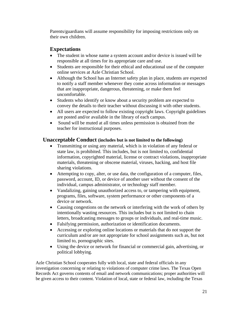Parents/guardians will assume responsibility for imposing restrictions only on their own children.

### **Expectations**

- The student in whose name a system account and/or device is issued will be responsible at all times for its appropriate care and use.
- Students are responsible for their ethical and educational use of the computer online services at Azle Christian School.
- Although the School has an Internet safety plan in place, students are expected to notify a staff member whenever they come across information or messages that are inappropriate, dangerous, threatening, or make them feel uncomfortable.
- Students who identify or know about a security problem are expected to convey the details to their teacher without discussing it with other students.
- All users are expected to follow existing copyright laws. Copyright guidelines are posted and/or available in the library of each campus.
- Sound will be muted at all times unless permission is obtained from the teacher for instructional purposes.

#### **Unacceptable Conduct (includes but is not limited to the following)**

- Transmitting or using any material, which is in violation of any federal or state law, is prohibited. This includes, but is not limited to, confidential information, copyrighted material, license or contract violations, inappropriate materials, threatening or obscene material, viruses, hacking, and host file sharing violations.
- Attempting to copy, alter, or use data, the configuration of a computer, files, password, account, ID, or device of another user without the consent of the individual, campus administrator, or technology staff member.
- Vandalizing, gaining unauthorized access to, or tampering with equipment, programs, files, software, system performance or other components of a device or network.
- Causing congestions on the network or interfering with the work of others by intentionally wasting resources. This includes but is not limited to chain letters, broadcasting messages to groups or individuals, and real-time music.
- Falsifying permission, authorization or identification documents.
- Accessing or exploring online locations or materials that do not support the curriculum and/or are not appropriate for school assignments such as, but not limited to, pornographic sites.
- Using the device or network for financial or commercial gain, advertising, or political lobbying.

Azle Christian School cooperates fully with local, state and federal officials in any investigation concerning or relating to violations of computer crime laws. The Texas Open Records Act governs contents of email and network communications; proper authorities will be given access to their content. Violation of local, state or federal law, including the Texas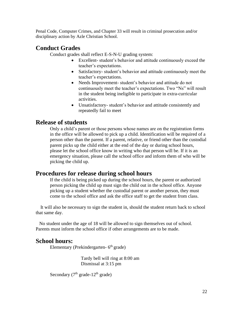Penal Code, Computer Crimes, and Chapter 33 will result in criminal prosecution and/or disciplinary action by Azle Christian School.

# **Conduct Grades**

Conduct grades shall reflect E-S-N-U grading system:

- Excellent- student's behavior and attitude continuously exceed the teacher's expectations.
- Satisfactory- student's behavior and attitude continuously meet the teacher's expectations.
- Needs Improvement- student's behavior and attitude do not continuously meet the teacher's expectations. Two "Ns" will result in the student being ineligible to participate in extra-curricular activities.
- Unsatisfactory- student's behavior and attitude consistently and repeatedly fail to meet

# **Release of students**

Only a child's parent or those persons whose names are on the registration forms in the office will be allowed to pick up a child. Identification will be required of a person other than the parent. If a parent, relative, or friend other than the custodial parent picks up the child either at the end of the day or during school hours, please let the school office know in writing who that person will be. If it is an emergency situation, please call the school office and inform them of who will be picking the child up.

# **Procedures for release during school hours**

If the child is being picked up during the school hours, the parent or authorized person picking the child up must sign the child out in the school office. Anyone picking up a student whether the custodial parent or another person, they must come to the school office and ask the office staff to get the student from class.

 It will also be necessary to sign the student in, should the student return back to school that same day.

 No student under the age of 18 will be allowed to sign themselves out of school. Parents must inform the school office if other arrangements are to be made.

# **School hours:**

Elementary (Prekindergarten- 6<sup>th</sup> grade)

 Tardy bell will ring at 8:00 am Dismissal at 3:15 pm

Secondary  $(7<sup>th</sup> grade-12<sup>th</sup> grade)$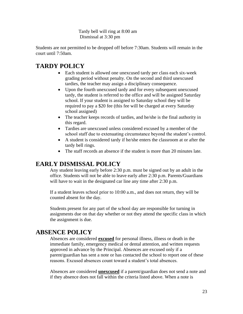Tardy bell will ring at 8:00 am Dismissal at 3:30 pm

Students are not permitted to be dropped off before 7:30am. Students will remain in the court until 7:50am.

# **TARDY POLICY**

- Each student is allowed one unexcused tardy per class each six-week grading period without penalty. On the second and third unexcused tardies, the teacher may assign a disciplinary consequence.
- Upon the fourth unexcused tardy and for every subsequent unexcused tardy, the student is referred to the office and will be assigned Saturday school. If your student is assigned to Saturday school they will be required to pay a \$20 fee (this fee will be charged at every Saturday school assigned)
- The teacher keeps records of tardies, and he/she is the final authority in this regard.
- Tardies are unexcused unless considered excused by a member of the school staff due to extenuating circumstance beyond the student's control.
- A student is considered tardy if he/she enters the classroom at or after the tardy bell rings.
- The staff records an absence if the student is more than 20 minutes late.

# **EARLY DISMISSAL POLICY**

Any student leaving early before 2:30 p.m. must be signed out by an adult in the office. Students will not be able to leave early after 2:30 p.m. Parents/Guardians will have to wait in the designated car line any time after 2:30 p.m.

If a student leaves school prior to 10:00 a.m., and does not return, they will be counted absent for the day.

Students present for any part of the school day are responsible for turning in assignments due on that day whether or not they attend the specific class in which the assignment is due.

# **ABSENCE POLICY**

Absences are considered **excused** for personal illness, illness or death in the immediate family, emergency medical or dental attention, and written requests approved in advance by the Principal. Absences are excused only if a parent/guardian has sent a note or has contacted the school to report one of these reasons. Excused absences count toward a student's total absences.

Absences are considered **unexcused** if a parent/guardian does not send a note and if they absence does not fall within the criteria listed above. When a note is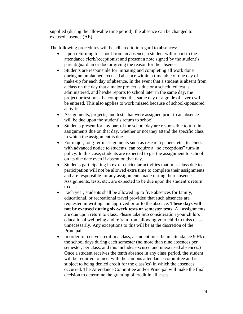supplied (during the allowable time period), the absence can be changed to excused absence (AE).

The following procedures will be adhered to in regard to absences:

- Upon returning to school from an absence, a student will report to the attendance clerk/receptionist and present a note signed by the student's parent/guardian or doctor giving the reason for the absence.
- Students are responsible for initiating and completing all work done during an unplanned excused absence within a timetable of one day of make-up for each day of absence. In the event that a student is absent from a class on the day that a major project is due or a scheduled test is administered, and he/she reports to school later in the same day, the project or test must be completed that same day or a grade of a zero will be entered. This also applies to work missed because of school-sponsored activities.
- Assignments, projects, and tests that were assigned prior to an absence will be due upon the student's return to school.
- Students present for any part of the school day are responsible to turn in assignments due on that day, whether or not they attend the specific class in which the assignment is due.
- For major, long-term assignments such as research papers, etc., teachers, with advanced notice to students, can require a "no exceptions" turn-in policy. In this case, students are expected to get the assignment to school on its due date even if absent on that day.
- Students participating in extra-curricular activities that miss class due to participation will not be allowed extra time to complete their assignments and are responsible for any assignments made during their absence. Assignments, tests, etc., are expected to be due upon the student's return to class.
- Each year, students shall be allowed up to five absences for family, educational, or recreational travel provided that such absences are requested in writing and approved prior to the absence. **These days will not be excused during six-week tests or semester tests.** All assignments are due upon return to class. Please take into consideration your child's educational wellbeing and refrain from allowing your child to miss class unnecessarily. Any exceptions to this will be at the discretion of the Principal.
- In order to receive credit in a class, a student must be in attendance 90% of the school days during each semester (no more than nine absences per semester, per class, and this includes excused and unexcused absences.) Once a student receives the tenth absence in any class period, the student will be required to meet with the campus attendance committee and is subject to being denied credit for the class(es) in which the absences occurred. The Attendance Committee and/or Principal will make the final decision to determine the granting of credit in all cases.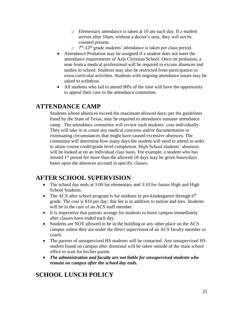- o Elementary attendance is taken at 10 am each day. If a student arrives after 10am, without a doctor's note, they will not be counted present.
- $\circ$  7<sup>th</sup>-12<sup>th</sup> grade students' attendance is taken per class period.
- Attendance Probation may be assigned if a student does not meet the attendance requirements of Azle Christian School. Once on probation, a note from a medical professional will be required to excuse absences and tardies to school. Students may also be restricted from participation in extra-curricular activities. Students with ongoing attendance issues may be asked to withdraw.
- All students who fail to attend 90% of the time will have the opportunity to appeal their case to the attendance committee.

# **ATTENDANCE CAMP**

Students whose absences exceed the maximum allowed days; per the guidelines listed by the State of Texas, may be required to attendance summer attendance camp. The attendance committee will review each students' case individually. They will take in to count any medical concerns and/or documentation or extenuating circumstances that might have caused excessive absences. The committee will determine how many days the student will need to attend in order to attain course credit/grade level completion. High School students' absences will be looked at on an individual class basis. For example, a student who has missed  $1<sup>st</sup>$  period for more than the allowed 18 days may be given hours/days bases upon the absences accrued in specific classes.

# **AFTER SCHOOL SUPERVISION**

- The school day ends at 3:00 for elementary and 3:10 for Junior High and High School Students.
- The ACS after school program is for students in pre-kindergarten through  $6<sup>th</sup>$ grade. The cost is \$10 per day; this fee is in addition to tuition and fees. Students will be in the care of an ACS staff member.
- It is imperative that parents arrange for students to leave campus immediately after classes have ended each day.
- Students are NOT allowed to be in the building or any other place on the ACS campus unless they are under the direct supervision of an ACS faculty member or coach.
- The parents of unsupervised HS students will be contacted. Any unsupervised HS student found on campus after dismissal will be taken outside of the main school office to wait for his/her parent.
- *The administration and faculty are not liable for unsupervised students who remain on campus after the school day ends.*

# **SCHOOL LUNCH POLICY**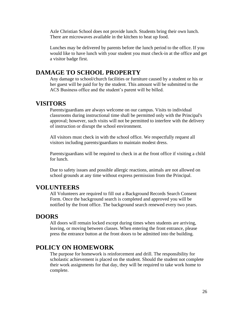Azle Christian School does not provide lunch. Students bring their own lunch. There are microwaves available in the kitchen to heat up food.

Lunches may be delivered by parents before the lunch period to the office. If you would like to have lunch with your student you must check-in at the office and get a visitor badge first.

### **DAMAGE TO SCHOOL PROPERTY**

Any damage to school/church facilities or furniture caused by a student or his or her guest will be paid for by the student. This amount will be submitted to the ACS Business office and the student's parent will be billed.

#### **VISITORS**

Parents/guardians are always welcome on our campus. Visits to individual classrooms during instructional time shall be permitted only with the Principal's approval; however, such visits will not be permitted to interfere with the delivery of instruction or disrupt the school environment.

All visitors must check in with the school office. We respectfully request all visitors including parents/guardians to maintain modest dress.

Parents/guardians will be required to check in at the front office if visiting a child for lunch.

Due to safety issues and possible allergic reactions, animals are not allowed on school grounds at any time without express permission from the Principal.

#### **VOLUNTEERS**

All Volunteers are required to fill out a Background Records Search Consent Form. Once the background search is completed and approved you will be notified by the front office. The background search renewed every two years.

#### **DOORS**

All doors will remain locked except during times when students are arriving, leaving, or moving between classes. When entering the front entrance, please press the entrance button at the front doors to be admitted into the building.

### **POLICY ON HOMEWORK**

The purpose for homework is reinforcement and drill. The responsibility for scholastic achievement is placed on the student. Should the student not complete their work assignments for that day, they will be required to take work home to complete.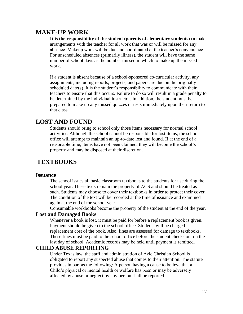# **MAKE-UP WORK**

**It is the responsibility of the student (parents of elementary students) to** make arrangements with the teacher for all work that was or will be missed for any absence. Makeup work will be due and coordinated at the teacher's convenience. For unscheduled absences (primarily illness), the student will have the same number of school days as the number missed in which to make up the missed work.

If a student is absent because of a school-sponsored co-curricular activity, any assignments, including reports, projects, and papers are due on the originally scheduled date(s). It is the student's responsibility to communicate with their teachers to ensure that this occurs. Failure to do so will result in a grade penalty to be determined by the individual instructor. In addition, the student must be prepared to make up any missed quizzes or tests immediately upon their return to that class.

# **LOST AND FOUND**

Students should bring to school only those items necessary for normal school activities. Although the school cannot be responsible for lost items, the school office will attempt to maintain an up-to-date lost and found. If at the end of a reasonable time, items have not been claimed, they will become the school's property and may be disposed at their discretion.

# **TEXTBOOKS**

#### **Issuance**

The school issues all basic classroom textbooks to the students for use during the school year. These texts remain the property of ACS and should be treated as such. Students may choose to cover their textbooks in order to protect their cover. The condition of the text will be recorded at the time of issuance and examined again at the end of the school year.

Consumable workbooks become the property of the student at the end of the year.

#### **Lost and Damaged Books**

Whenever a book is lost, it must be paid for before a replacement book is given. Payment should be given to the school office. Students will be charged replacement cost of the book. Also, fines are assessed for damage to textbooks. These fines must be paid to the school office before the student checks out on the last day of school. Academic records may be held until payment is remitted.

#### **CHILD ABUSE REPORTING**

Under Texas law, the staff and administration of Azle Christian School is obligated to report any suspected abuse that comes to their attention. The statute provides in part as the following: A person having a cause to believe that a Child's physical or mental health or welfare has been or may be adversely affected by abuse or neglect by any person shall be reported.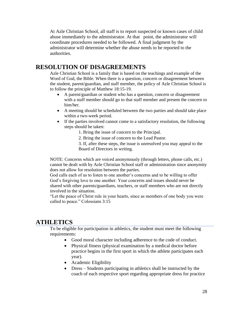At Azle Christian School, all staff is to report suspected or known cases of child abuse immediately to the administrator. At that point, the administrator will coordinate procedures needed to be followed. A final judgment by the administrator will determine whether the abuse needs to be reported to the authorities.

# **RESOLUTION OF DISAGREEMENTS**

Azle Christian School is a family that is based on the teachings and example of the Word of God, the Bible. When there is a question, concern or disagreement between the student, parent/guardian, and staff member, the policy of Azle Christian School is to follow the principle of Matthew 18:15-19.

- A parent/guardian or student who has a question, concern or disagreement with a staff member should go to that staff member and present the concern to him/her.
- A meeting should be scheduled between the two parties and should take place within a two-week period.
- If the parties involved cannot come to a satisfactory resolution, the following steps should be taken:
	- 1. Bring the issue of concern to the Principal.
	- 2. Bring the issue of concern to the Lead Pastor.

3. If, after these steps, the issue is unresolved you may appeal to the Board of Directors in writing.

NOTE: Concerns which are voiced anonymously (through letters, phone calls, etc.) cannot be dealt with by Azle Christian School staff or administration since anonymity does not allow for resolution between the parties.

God calls each of us to listen to one another's concerns and to be willing to offer God's forgiving love to one another. Your concerns and issues should never be shared with other parents/guardians, teachers, or staff members who are not directly involved in the situation.

"Let the peace of Christ rule in your hearts, since as members of one body you were called to peace." Colossians 3:15

# **ATHLETICS**

To be eligible for participation in athletics, the student must meet the following requirements:

- Good moral character including adherence to the code of conduct.
- Physical fitness (physical examination by a medical doctor before practice begins in the first sport in which the athlete participates each year).
- Academic Eligibility
- Dress Students participating in athletics shall be instructed by the coach of each respective sport regarding appropriate dress for practice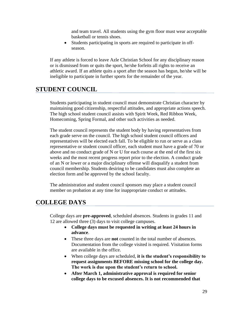and team travel. All students using the gym floor must wear acceptable basketball or tennis shoes.

Students participating in sports are required to participate in offseason.

If any athlete is forced to leave Azle Christian School for any disciplinary reason or is dismissed from or quits the sport, he/she forfeits all rights to receive an athletic award. If an athlete quits a sport after the season has begun, he/she will be ineligible to participate in further sports for the remainder of the year.

### **STUDENT COUNCIL**

Students participating in student council must demonstrate Christian character by maintaining good citizenship, respectful attitudes, and appropriate actions speech. The high school student council assists with Spirit Week, Red Ribbon Week, Homecoming, Spring Formal, and other such activities as needed.

The student council represents the student body by having representatives from each grade serve on the council. The high school student council officers and representatives will be elected each fall. To be eligible to run or serve as a class representative or student council officer, each student must have a grade of 70 or above and no conduct grade of N or U for each course at the end of the first six weeks and the most recent progress report prior to the election. A conduct grade of an N or lower or a major disciplinary offense will disqualify a student from council membership. Students desiring to be candidates must also complete an election form and be approved by the school faculty.

The administration and student council sponsors may place a student council member on probation at any time for inappropriate conduct or attitudes.

### **COLLEGE DAYS**

College days are **pre-approved**, scheduled absences. Students in grades 11 and 12 are allowed three (3) days to visit college campuses.

- **College days must be requested in writing at least 24 hours in advance**.
- These three days are **not** counted in the total number of absences. Documentation from the college visited is required. Visitation forms are available in the office.
- When college days are scheduled, **it is the student's responsibility to request assignments BEFORE missing school for the college day. The work is due upon the student's return to school.**
- **After March 1, administrative approval is required for senior college days to be excused absences. It is not recommended that**